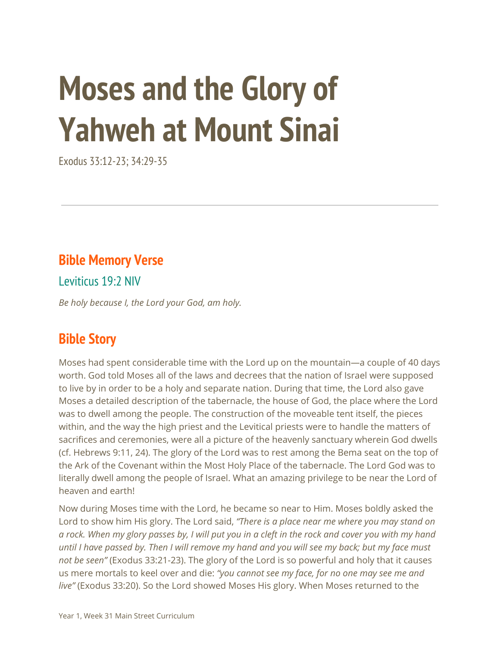# **Moses and the Glory of Yahweh at Mount Sinai**

Exodus 33:12-23; 34:29-35

#### **Bible Memory Verse**

Leviticus 19:2 NIV

*Be holy because I, the Lord your God, am holy.*

### **Bible Story**

Moses had spent considerable time with the Lord up on the mountain—a couple of 40 days worth. God told Moses all of the laws and decrees that the nation of Israel were supposed to live by in order to be a holy and separate nation. During that time, the Lord also gave Moses a detailed description of the tabernacle, the house of God, the place where the Lord was to dwell among the people. The construction of the moveable tent itself, the pieces within, and the way the high priest and the Levitical priests were to handle the matters of sacrifices and ceremonies, were all a picture of the heavenly sanctuary wherein God dwells (cf. Hebrews 9:11, 24). The glory of the Lord was to rest among the Bema seat on the top of the Ark of the Covenant within the Most Holy Place of the tabernacle. The Lord God was to literally dwell among the people of Israel. What an amazing privilege to be near the Lord of heaven and earth!

Now during Moses time with the Lord, he became so near to Him. Moses boldly asked the Lord to show him His glory. The Lord said, *"There is a place near me where you may stand on* a rock. When my glory passes by, I will put you in a cleft in the rock and cover you with my hand until I have passed by. Then I will remove my hand and you will see my back; but my face must *not be seen"* (Exodus 33:21-23). The glory of the Lord is so powerful and holy that it causes us mere mortals to keel over and die: *"you cannot see my face, for no one may see me and live"* (Exodus 33:20). So the Lord showed Moses His glory. When Moses returned to the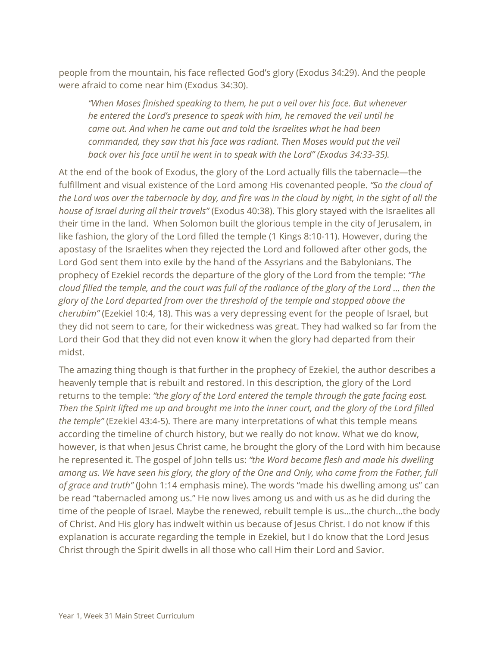people from the mountain, his face reflected God's glory (Exodus 34:29). And the people were afraid to come near him (Exodus 34:30).

*"When Moses finished speaking to them, he put a veil over his face. But whenever he entered the Lord's presence to speak with him, he removed the veil until he came out. And when he came out and told the Israelites what he had been commanded, they saw that his face was radiant. Then Moses would put the veil back over his face until he went in to speak with the Lord" (Exodus 34:33-35).*

At the end of the book of Exodus, the glory of the Lord actually fills the tabernacle—the fulfillment and visual existence of the Lord among His covenanted people. *"So the cloud of* the Lord was over the tabernacle by day, and fire was in the cloud by night, in the sight of all the *house of Israel during all their travels"* (Exodus 40:38). This glory stayed with the Israelites all their time in the land. When Solomon built the glorious temple in the city of Jerusalem, in like fashion, the glory of the Lord filled the temple (1 Kings 8:10-11). However, during the apostasy of the Israelites when they rejected the Lord and followed after other gods, the Lord God sent them into exile by the hand of the Assyrians and the Babylonians. The prophecy of Ezekiel records the departure of the glory of the Lord from the temple: *"The* cloud filled the temple, and the court was full of the radiance of the glory of the Lord ... then the *glory of the Lord departed from over the threshold of the temple and stopped above the cherubim"* (Ezekiel 10:4, 18). This was a very depressing event for the people of Israel, but they did not seem to care, for their wickedness was great. They had walked so far from the Lord their God that they did not even know it when the glory had departed from their midst.

The amazing thing though is that further in the prophecy of Ezekiel, the author describes a heavenly temple that is rebuilt and restored. In this description, the glory of the Lord returns to the temple: *"the glory of the Lord entered the temple through the gate facing east.* Then the Spirit lifted me up and brought me into the inner court, and the glory of the Lord filled *the temple"* (Ezekiel 43:4-5). There are many interpretations of what this temple means according the timeline of church history, but we really do not know. What we do know, however, is that when Jesus Christ came, he brought the glory of the Lord with him because he represented it. The gospel of John tells us: *"the Word became flesh and made his dwelling* among us. We have seen his glory, the glory of the One and Only, who came from the Father, full *of grace and truth"* (John 1:14 emphasis mine). The words "made his dwelling among us" can be read "tabernacled among us." He now lives among us and with us as he did during the time of the people of Israel. Maybe the renewed, rebuilt temple is us…the church…the body of Christ. And His glory has indwelt within us because of Jesus Christ. I do not know if this explanation is accurate regarding the temple in Ezekiel, but I do know that the Lord Jesus Christ through the Spirit dwells in all those who call Him their Lord and Savior.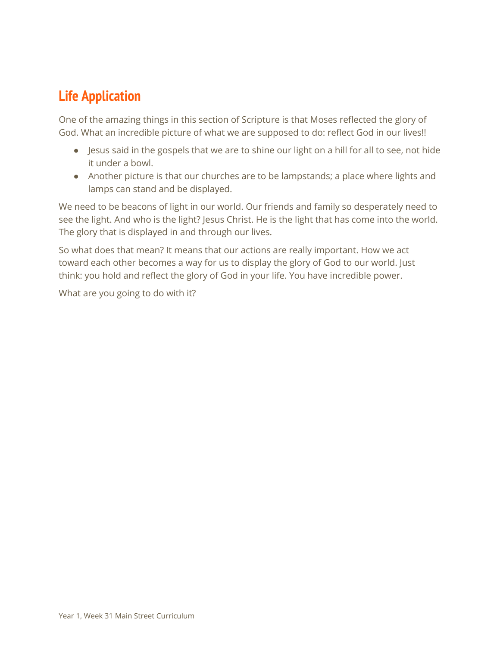## **Life Application**

One of the amazing things in this section of Scripture is that Moses reflected the glory of God. What an incredible picture of what we are supposed to do: reflect God in our lives!!

- Jesus said in the gospels that we are to shine our light on a hill for all to see, not hide it under a bowl.
- Another picture is that our churches are to be lampstands; a place where lights and lamps can stand and be displayed.

We need to be beacons of light in our world. Our friends and family so desperately need to see the light. And who is the light? Jesus Christ. He is the light that has come into the world. The glory that is displayed in and through our lives.

So what does that mean? It means that our actions are really important. How we act toward each other becomes a way for us to display the glory of God to our world. Just think: you hold and reflect the glory of God in your life. You have incredible power.

What are you going to do with it?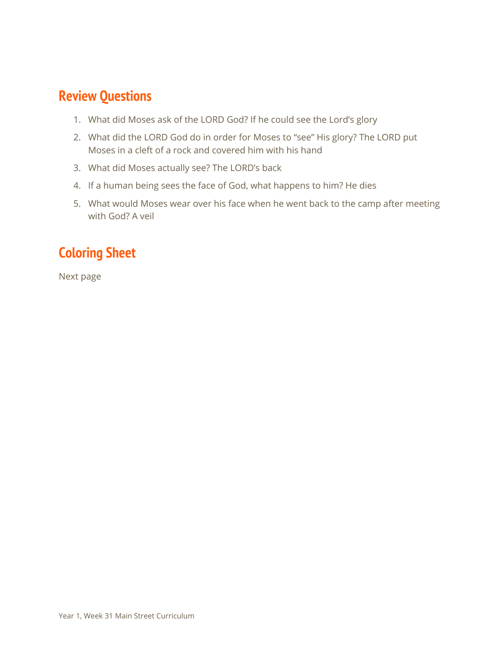#### **Review Questions**

- 1. What did Moses ask of the LORD God? If he could see the Lord's glory
- 2. What did the LORD God do in order for Moses to "see" His glory? The LORD put Moses in a cleft of a rock and covered him with his hand
- 3. What did Moses actually see? The LORD's back
- 4. If a human being sees the face of God, what happens to him? He dies
- 5. What would Moses wear over his face when he went back to the camp after meeting with God? A veil

## **Coloring Sheet**

Next page